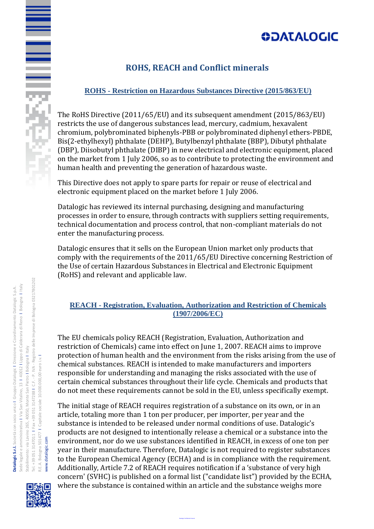# **ODATALOGIC**

### **ROHS, REACH and Conflict minerals**

### **ROHS - Restriction on Hazardous Substances Directive (2015/863/EU)**

The RoHS Directive (2011/65/EU) and its subsequent amendment (2015/863/EU) restricts the use of dangerous substances lead, mercury, cadmium, hexavalent chromium, polybrominated biphenyls-PBB or polybrominated diphenyl ethers-PBDE, Bis(2-ethylhexyl) phthalate (DEHP), Butylbenzyl phthalate (BBP), Dibutyl phthalate (DBP), Diisobutyl phthalate (DIBP) in new electrical and electronic equipment, placed on the market from 1 July 2006, so as to contribute to protecting the environment and human health and preventing the generation of hazardous waste.

This Directive does not apply to spare parts for repair or reuse of electrical and electronic equipment placed on the market before 1 July 2006.

Datalogic has reviewed its internal purchasing, designing and manufacturing processes in order to ensure, through contracts with suppliers setting requirements, technical documentation and process control, that non-compliant materials do not enter the manufacturing process.

Datalogic ensures that it sells on the European Union market only products that comply with the requirements of the 2011/65/EU Directive concerning Restriction of the Use of certain Hazardous Substances in Electrical and Electronic Equipment (RoHS) and relevant and applicable law.

#### **REACH - Registration, Evaluation, Authorization and Restriction of Chemicals (1907/2006/EC)**

The EU chemicals policy REACH (Registration, Evaluation, Authorization and restriction of Chemicals) came into effect on June 1, 2007. REACH aims to improve protection of human health and the environment from the risks arising from the use of chemical substances. REACH is intended to make manufacturers and importers responsible for understanding and managing the risks associated with the use of certain chemical substances throughout their life cycle. Chemicals and products that do not meet these requirements cannot be sold in the EU, unless specifically exempt.

The initial stage of REACH requires registration of a substance on its own, or in an article, totaling more than 1 ton per producer, per importer, per year and the substance is intended to be released under normal conditions of use. Datalogic's products are not designed to intentionally release a chemical or a substance into the environment, nor do we use substances identified in REACH, in excess of one ton per year in their manufacture. Therefore, Datalogic is not required to register substances to the European Chemical Agency (ECHA) and is in compliance with the requirement. Additionally, Article 7.2 of REACH requires notification if a 'substance of very high concern' (SVHC) is published on a formal list ("candidate list") provided by the ECHA, where the substance is contained within an article and the substance weighs more

Datalogic Confidential Internal



www.datalogic.com

www.datalogic.com

E<br>Silici Santa Santa Santa Santa Santa Santa Santa Santa Santa Santa Santa Santa Santa Santa Santa Santa Santa S<br>Santa Santa Santa Santa Santa Santa Santa Santa Santa Santa Santa Santa Santa Santa Santa Santa Santa Santa S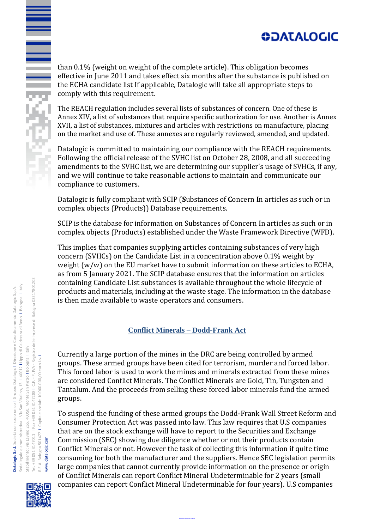# **ODATALOGIC**

than 0.1% (weight on weight of the complete article). This obligation becomes effective in June 2011 and takes effect six months after the substance is published on the ECHA candidate list If applicable, Datalogic will take all appropriate steps to comply with this requirement.

The REACH regulation includes several lists of substances of concern. One of these is Annex XIV, a list of substances that require specific authorization for use. Another is Annex XVII, a list of substances, mixtures and articles with restrictions on manufacture, placing on the market and use of. These annexes are regularly reviewed, amended, and updated.

Datalogic is committed to maintaining our compliance with the REACH requirements. Following the official release of the SVHC list on October 28, 2008, and all succeeding amendments to the SVHC list, we are determining our supplier's usage of SVHCs, if any, and we will continue to take reasonable actions to maintain and communicate our compliance to customers.

Datalogic is fully compliant with SCIP (**S**ubstances of **C**oncern **I**n articles as such or in complex objects (**P**roducts)) Database requirements.

SCIP is the database for information on Substances of Concern In articles as such or in complex objects (Products) established under the Waste Framework Directive (WFD).

This implies that companies supplying articles containing substances of very high concern (SVHCs) on the Candidate List in a concentration above 0.1% weight by weight (w/w) on the EU market have to submit information on these articles to ECHA, as from 5 January 2021. The SCIP database ensures that the information on articles containing Candidate List substances is available throughout the whole lifecycle of products and materials, including at the waste stage. The information in the database is then made available to waste operators and consumers.

#### **Conflict Minerals – Dodd-Frank Act**

Currently a large portion of the mines in the DRC are being controlled by armed groups. These armed groups have been cited for terrorism, murder and forced labor. This forced labor is used to work the mines and minerals extracted from these mines are considered Conflict Minerals. The Conflict Minerals are Gold, Tin, Tungsten and Tantalum. And the proceeds from selling these forced labor minerals fund the armed groups.

To suspend the funding of these armed groups the Dodd-Frank Wall Street Reform and Consumer Protection Act was passed into law. This law requires that U.S companies that are on the stock exchange will have to report to the Securities and Exchange Commission (SEC) showing due diligence whether or not their products contain Conflict Minerals or not. However the task of collecting this information if quite time consuming for both the manufacturer and the suppliers. Hence SEC legislation permits large companies that cannot currently provide information on the presence or origin of Conflict Minerals can report Conflict Mineral Undeterminable for 2 years (small

companies can report Conflict Mineral Undeterminable for four years). U.S companies

Datalogic Confidential Internal



R.E.A. Bologna 501477 I Capitale sociale 10.000.000,00 euro i.v. I

www.datalogic.com

www.datalogic.com